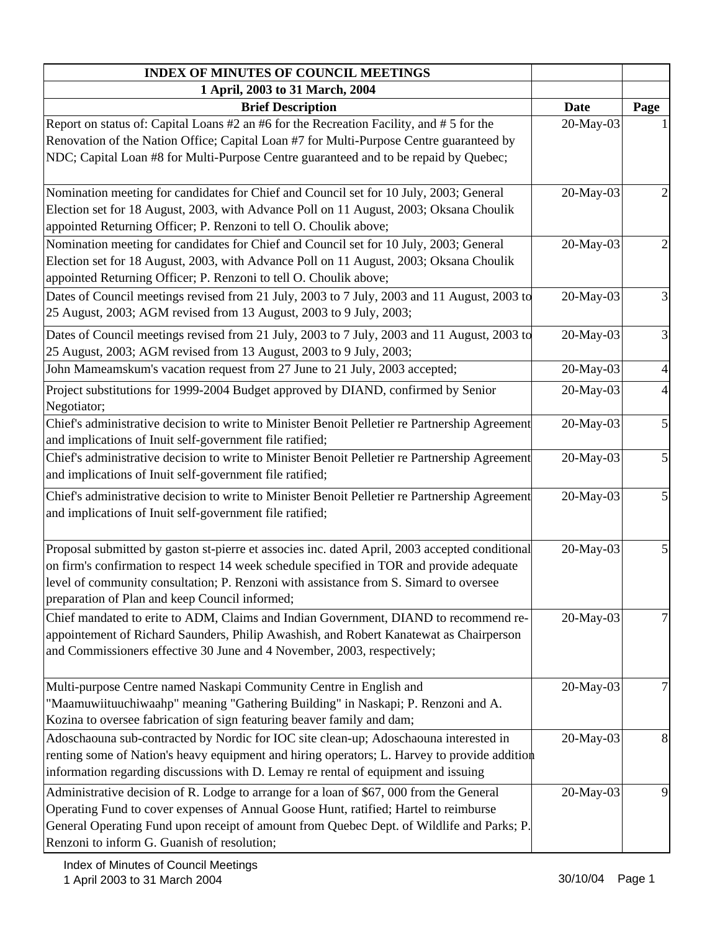| <b>INDEX OF MINUTES OF COUNCIL MEETINGS</b>                                                    |             |                         |
|------------------------------------------------------------------------------------------------|-------------|-------------------------|
| 1 April, 2003 to 31 March, 2004                                                                |             |                         |
| <b>Brief Description</b>                                                                       | <b>Date</b> | Page                    |
| Report on status of: Capital Loans #2 an #6 for the Recreation Facility, and #5 for the        | 20-May-03   |                         |
| Renovation of the Nation Office; Capital Loan #7 for Multi-Purpose Centre guaranteed by        |             |                         |
| NDC; Capital Loan #8 for Multi-Purpose Centre guaranteed and to be repaid by Quebec;           |             |                         |
| Nomination meeting for candidates for Chief and Council set for 10 July, 2003; General         | 20-May-03   | 2                       |
| Election set for 18 August, 2003, with Advance Poll on 11 August, 2003; Oksana Choulik         |             |                         |
| appointed Returning Officer; P. Renzoni to tell O. Choulik above;                              |             |                         |
| Nomination meeting for candidates for Chief and Council set for 10 July, 2003; General         | 20-May-03   | $\overline{c}$          |
| Election set for 18 August, 2003, with Advance Poll on 11 August, 2003; Oksana Choulik         |             |                         |
| appointed Returning Officer; P. Renzoni to tell O. Choulik above;                              |             |                         |
| Dates of Council meetings revised from 21 July, 2003 to 7 July, 2003 and 11 August, 2003 to    | 20-May-03   | 3                       |
| 25 August, 2003; AGM revised from 13 August, 2003 to 9 July, 2003;                             |             |                         |
| Dates of Council meetings revised from 21 July, 2003 to 7 July, 2003 and 11 August, 2003 to    | 20-May-03   | $\overline{\mathbf{3}}$ |
| 25 August, 2003; AGM revised from 13 August, 2003 to 9 July, 2003;                             |             |                         |
| John Mameamskum's vacation request from 27 June to 21 July, 2003 accepted;                     | 20-May-03   | $\overline{4}$          |
| Project substitutions for 1999-2004 Budget approved by DIAND, confirmed by Senior              | 20-May-03   | $\overline{4}$          |
| Negotiator;                                                                                    |             |                         |
| Chief's administrative decision to write to Minister Benoit Pelletier re Partnership Agreement | 20-May-03   | $\mathfrak{S}$          |
| and implications of Inuit self-government file ratified;                                       |             |                         |
| Chief's administrative decision to write to Minister Benoit Pelletier re Partnership Agreement | 20-May-03   | $\mathfrak{S}$          |
| and implications of Inuit self-government file ratified;                                       |             |                         |
| Chief's administrative decision to write to Minister Benoit Pelletier re Partnership Agreement | 20-May-03   | $\mathfrak{S}$          |
| and implications of Inuit self-government file ratified;                                       |             |                         |
|                                                                                                |             |                         |
| Proposal submitted by gaston st-pierre et associes inc. dated April, 2003 accepted conditional | 20-May-03   | 5                       |
| on firm's confirmation to respect 14 week schedule specified in TOR and provide adequate       |             |                         |
| level of community consultation; P. Renzoni with assistance from S. Simard to oversee          |             |                         |
| preparation of Plan and keep Council informed;                                                 |             |                         |
| Chief mandated to erite to ADM, Claims and Indian Government, DIAND to recommend re-           | 20-May-03   | 7                       |
| appointement of Richard Saunders, Philip Awashish, and Robert Kanatewat as Chairperson         |             |                         |
| and Commissioners effective 30 June and 4 November, 2003, respectively;                        |             |                         |
|                                                                                                |             |                         |
| Multi-purpose Centre named Naskapi Community Centre in English and                             | 20-May-03   |                         |
| "Maamuwiituuchiwaahp" meaning "Gathering Building" in Naskapi; P. Renzoni and A.               |             |                         |
| Kozina to oversee fabrication of sign featuring beaver family and dam;                         |             |                         |
| Adoschaouna sub-contracted by Nordic for IOC site clean-up; Adoschaouna interested in          | 20-May-03   | 8                       |
| renting some of Nation's heavy equipment and hiring operators; L. Harvey to provide addition   |             |                         |
| information regarding discussions with D. Lemay re rental of equipment and issuing             |             |                         |
| Administrative decision of R. Lodge to arrange for a loan of \$67,000 from the General         | 20-May-03   | 9                       |
| Operating Fund to cover expenses of Annual Goose Hunt, ratified; Hartel to reimburse           |             |                         |
| General Operating Fund upon receipt of amount from Quebec Dept. of Wildlife and Parks; P.      |             |                         |
| Renzoni to inform G. Guanish of resolution;                                                    |             |                         |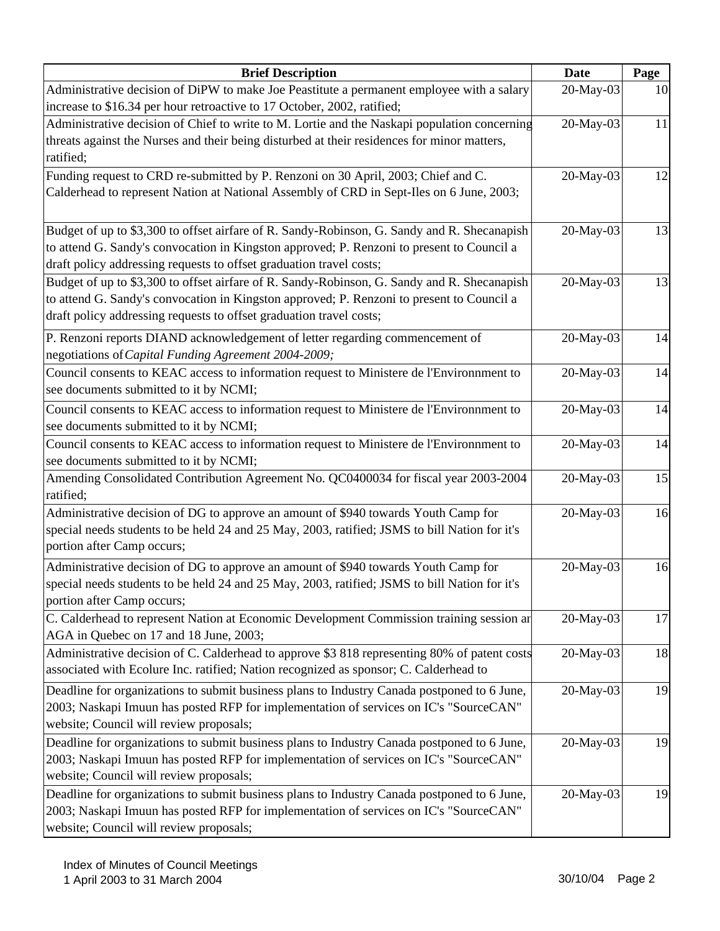| <b>Brief Description</b>                                                                      | <b>Date</b> | Page |
|-----------------------------------------------------------------------------------------------|-------------|------|
| Administrative decision of DiPW to make Joe Peastitute a permanent employee with a salary     | 20-May-03   | 10   |
| increase to \$16.34 per hour retroactive to 17 October, 2002, ratified;                       |             |      |
| Administrative decision of Chief to write to M. Lortie and the Naskapi population concerning  | 20-May-03   | 11   |
| threats against the Nurses and their being disturbed at their residences for minor matters,   |             |      |
| ratified;                                                                                     |             |      |
| Funding request to CRD re-submitted by P. Renzoni on 30 April, 2003; Chief and C.             | 20-May-03   | 12   |
| Calderhead to represent Nation at National Assembly of CRD in Sept-Iles on 6 June, 2003;      |             |      |
| Budget of up to \$3,300 to offset airfare of R. Sandy-Robinson, G. Sandy and R. Shecanapish   | 20-May-03   | 13   |
| to attend G. Sandy's convocation in Kingston approved; P. Renzoni to present to Council a     |             |      |
| draft policy addressing requests to offset graduation travel costs;                           |             |      |
| Budget of up to \$3,300 to offset airfare of R. Sandy-Robinson, G. Sandy and R. Shecanapish   | 20-May-03   | 13   |
| to attend G. Sandy's convocation in Kingston approved; P. Renzoni to present to Council a     |             |      |
| draft policy addressing requests to offset graduation travel costs;                           |             |      |
| P. Renzoni reports DIAND acknowledgement of letter regarding commencement of                  | 20-May-03   | 14   |
| negotiations of Capital Funding Agreement 2004-2009;                                          |             |      |
| Council consents to KEAC access to information request to Ministere de l'Environnment to      | 20-May-03   | 14   |
| see documents submitted to it by NCMI;                                                        |             |      |
| Council consents to KEAC access to information request to Ministere de l'Environnment to      | 20-May-03   | 14   |
| see documents submitted to it by NCMI;                                                        |             |      |
| Council consents to KEAC access to information request to Ministere de l'Environnment to      | 20-May-03   | 14   |
| see documents submitted to it by NCMI;                                                        |             |      |
| Amending Consolidated Contribution Agreement No. QC0400034 for fiscal year 2003-2004          | 20-May-03   | 15   |
| ratified;                                                                                     |             |      |
| Administrative decision of DG to approve an amount of \$940 towards Youth Camp for            | 20-May-03   | 16   |
| special needs students to be held 24 and 25 May, 2003, ratified; JSMS to bill Nation for it's |             |      |
| portion after Camp occurs;                                                                    |             |      |
| Administrative decision of DG to approve an amount of \$940 towards Youth Camp for            | 20-May-03   | 16   |
| special needs students to be held 24 and 25 May, 2003, ratified; JSMS to bill Nation for it's |             |      |
| portion after Camp occurs;                                                                    |             |      |
| C. Calderhead to represent Nation at Economic Development Commission training session ar      | 20-May-03   | 17   |
| AGA in Quebec on 17 and 18 June, 2003;                                                        |             |      |
| Administrative decision of C. Calderhead to approve \$3 818 representing 80% of patent costs  | 20-May-03   | 18   |
| associated with Ecolure Inc. ratified; Nation recognized as sponsor; C. Calderhead to         |             |      |
| Deadline for organizations to submit business plans to Industry Canada postponed to 6 June,   | 20-May-03   | 19   |
| 2003; Naskapi Imuun has posted RFP for implementation of services on IC's "SourceCAN"         |             |      |
| website; Council will review proposals;                                                       |             |      |
| Deadline for organizations to submit business plans to Industry Canada postponed to 6 June,   | 20-May-03   | 19   |
| 2003; Naskapi Imuun has posted RFP for implementation of services on IC's "SourceCAN"         |             |      |
| website; Council will review proposals;                                                       |             |      |
| Deadline for organizations to submit business plans to Industry Canada postponed to 6 June,   | 20-May-03   | 19   |
| 2003; Naskapi Imuun has posted RFP for implementation of services on IC's "SourceCAN"         |             |      |
| website; Council will review proposals;                                                       |             |      |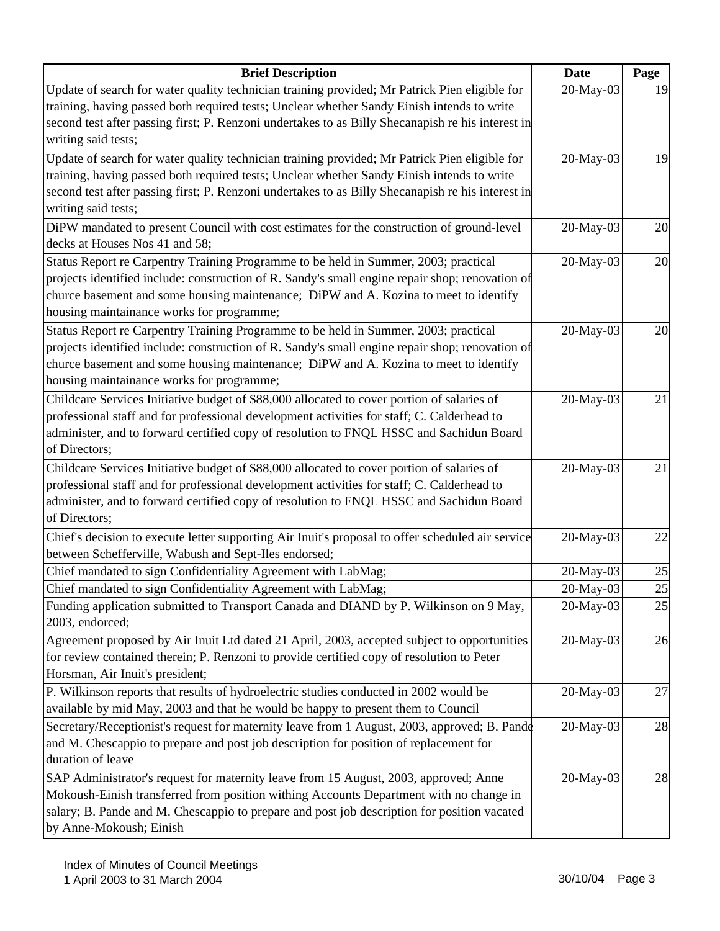| <b>Brief Description</b>                                                                          | <b>Date</b> | Page |
|---------------------------------------------------------------------------------------------------|-------------|------|
| Update of search for water quality technician training provided; Mr Patrick Pien eligible for     | 20-May-03   | 19   |
| training, having passed both required tests; Unclear whether Sandy Einish intends to write        |             |      |
| second test after passing first; P. Renzoni undertakes to as Billy Shecanapish re his interest in |             |      |
| writing said tests;                                                                               |             |      |
| Update of search for water quality technician training provided; Mr Patrick Pien eligible for     | 20-May-03   | 19   |
| training, having passed both required tests; Unclear whether Sandy Einish intends to write        |             |      |
| second test after passing first; P. Renzoni undertakes to as Billy Shecanapish re his interest in |             |      |
| writing said tests;                                                                               |             |      |
| DiPW mandated to present Council with cost estimates for the construction of ground-level         | 20-May-03   | 20   |
| decks at Houses Nos 41 and 58;                                                                    |             |      |
| Status Report re Carpentry Training Programme to be held in Summer, 2003; practical               | 20-May-03   | 20   |
| projects identified include: construction of R. Sandy's small engine repair shop; renovation of   |             |      |
| churce basement and some housing maintenance; DiPW and A. Kozina to meet to identify              |             |      |
| housing maintainance works for programme;                                                         |             |      |
| Status Report re Carpentry Training Programme to be held in Summer, 2003; practical               | 20-May-03   | 20   |
| projects identified include: construction of R. Sandy's small engine repair shop; renovation of   |             |      |
| churce basement and some housing maintenance; DiPW and A. Kozina to meet to identify              |             |      |
| housing maintainance works for programme;                                                         |             |      |
| Childcare Services Initiative budget of \$88,000 allocated to cover portion of salaries of        | 20-May-03   | 21   |
| professional staff and for professional development activities for staff; C. Calderhead to        |             |      |
| administer, and to forward certified copy of resolution to FNQL HSSC and Sachidun Board           |             |      |
| of Directors;                                                                                     |             |      |
| Childcare Services Initiative budget of \$88,000 allocated to cover portion of salaries of        | 20-May-03   | 21   |
| professional staff and for professional development activities for staff; C. Calderhead to        |             |      |
| administer, and to forward certified copy of resolution to FNQL HSSC and Sachidun Board           |             |      |
| of Directors;                                                                                     |             |      |
| Chief's decision to execute letter supporting Air Inuit's proposal to offer scheduled air service | 20-May-03   | 22   |
| between Schefferville, Wabush and Sept-Iles endorsed;                                             |             |      |
| Chief mandated to sign Confidentiality Agreement with LabMag;                                     | 20-May-03   | 25   |
| Chief mandated to sign Confidentiality Agreement with LabMag;                                     | 20-May-03   | 25   |
| Funding application submitted to Transport Canada and DIAND by P. Wilkinson on 9 May,             | 20-May-03   | 25   |
| 2003, endorced;                                                                                   |             |      |
| Agreement proposed by Air Inuit Ltd dated 21 April, 2003, accepted subject to opportunities       | 20-May-03   | 26   |
| for review contained therein; P. Renzoni to provide certified copy of resolution to Peter         |             |      |
| Horsman, Air Inuit's president;                                                                   |             |      |
| P. Wilkinson reports that results of hydroelectric studies conducted in 2002 would be             | 20-May-03   | 27   |
| available by mid May, 2003 and that he would be happy to present them to Council                  |             |      |
| Secretary/Receptionist's request for maternity leave from 1 August, 2003, approved; B. Pande      | 20-May-03   | 28   |
| and M. Chescappio to prepare and post job description for position of replacement for             |             |      |
| duration of leave                                                                                 |             |      |
| SAP Administrator's request for maternity leave from 15 August, 2003, approved; Anne              | 20-May-03   | 28   |
| Mokoush-Einish transferred from position withing Accounts Department with no change in            |             |      |
| salary; B. Pande and M. Chescappio to prepare and post job description for position vacated       |             |      |
| by Anne-Mokoush; Einish                                                                           |             |      |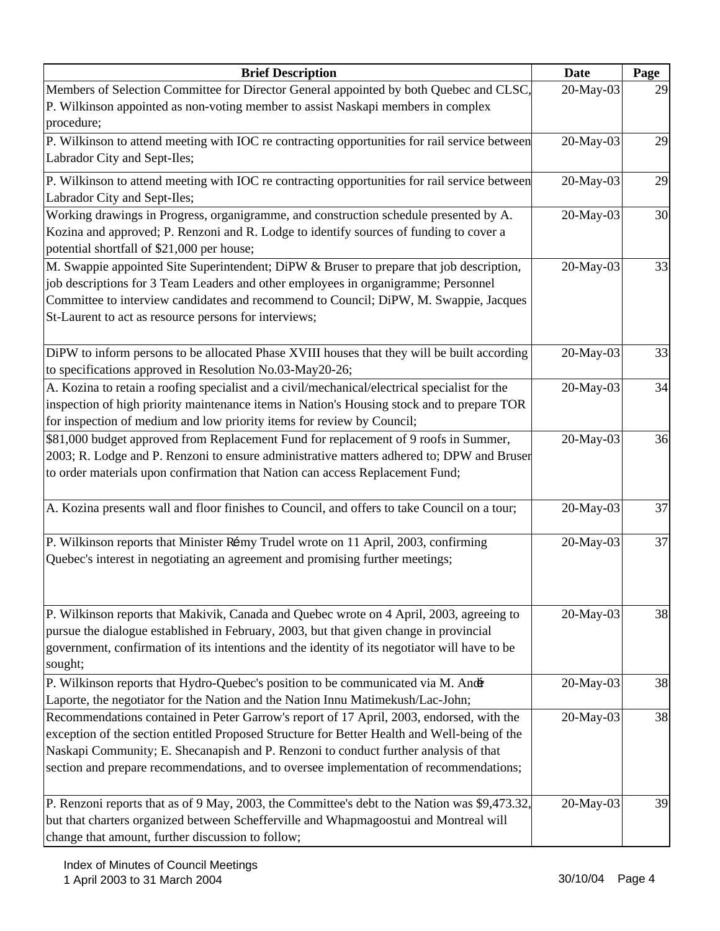| <b>Brief Description</b>                                                                      | <b>Date</b> | Page |
|-----------------------------------------------------------------------------------------------|-------------|------|
| Members of Selection Committee for Director General appointed by both Quebec and CLSC,        | 20-May-03   | 29   |
| P. Wilkinson appointed as non-voting member to assist Naskapi members in complex              |             |      |
| procedure;                                                                                    |             |      |
| P. Wilkinson to attend meeting with IOC re contracting opportunities for rail service between | 20-May-03   | 29   |
| Labrador City and Sept-Iles;                                                                  |             |      |
| P. Wilkinson to attend meeting with IOC re contracting opportunities for rail service between | 20-May-03   | 29   |
| Labrador City and Sept-Iles;                                                                  |             |      |
| Working drawings in Progress, organigramme, and construction schedule presented by A.         | 20-May-03   | 30   |
| Kozina and approved; P. Renzoni and R. Lodge to identify sources of funding to cover a        |             |      |
| potential shortfall of \$21,000 per house;                                                    |             |      |
| M. Swappie appointed Site Superintendent; DiPW & Bruser to prepare that job description,      | 20-May-03   | 33   |
| job descriptions for 3 Team Leaders and other employees in organigramme; Personnel            |             |      |
| Committee to interview candidates and recommend to Council; DiPW, M. Swappie, Jacques         |             |      |
| St-Laurent to act as resource persons for interviews;                                         |             |      |
|                                                                                               |             |      |
| DiPW to inform persons to be allocated Phase XVIII houses that they will be built according   | 20-May-03   | 33   |
| to specifications approved in Resolution No.03-May20-26;                                      |             |      |
| A. Kozina to retain a roofing specialist and a civil/mechanical/electrical specialist for the | 20-May-03   | 34   |
| inspection of high priority maintenance items in Nation's Housing stock and to prepare TOR    |             |      |
| for inspection of medium and low priority items for review by Council;                        |             |      |
| \$81,000 budget approved from Replacement Fund for replacement of 9 roofs in Summer,          | 20-May-03   | 36   |
| 2003; R. Lodge and P. Renzoni to ensure administrative matters adhered to; DPW and Bruser     |             |      |
| to order materials upon confirmation that Nation can access Replacement Fund;                 |             |      |
| A. Kozina presents wall and floor finishes to Council, and offers to take Council on a tour;  | 20-May-03   | 37   |
|                                                                                               |             |      |
| P. Wilkinson reports that Minister Rémy Trudel wrote on 11 April, 2003, confirming            | 20-May-03   | 37   |
| Quebec's interest in negotiating an agreement and promising further meetings;                 |             |      |
|                                                                                               |             |      |
| P. Wilkinson reports that Makivik, Canada and Quebec wrote on 4 April, 2003, agreeing to      | 20-May-03   | 38   |
| pursue the dialogue established in February, 2003, but that given change in provincial        |             |      |
| government, confirmation of its intentions and the identity of its negotiator will have to be |             |      |
| sought;                                                                                       |             |      |
| P. Wilkinson reports that Hydro-Quebec's position to be communicated via M. Andr              | 20-May-03   | 38   |
| Laporte, the negotiator for the Nation and the Nation Innu Matimekush/Lac-John;               |             |      |
| Recommendations contained in Peter Garrow's report of 17 April, 2003, endorsed, with the      | 20-May-03   | 38   |
| exception of the section entitled Proposed Structure for Better Health and Well-being of the  |             |      |
| Naskapi Community; E. Shecanapish and P. Renzoni to conduct further analysis of that          |             |      |
| section and prepare recommendations, and to oversee implementation of recommendations;        |             |      |
|                                                                                               |             |      |
| P. Renzoni reports that as of 9 May, 2003, the Committee's debt to the Nation was \$9,473.32, | 20-May-03   | 39   |
| but that charters organized between Schefferville and Whapmagoostui and Montreal will         |             |      |
| change that amount, further discussion to follow;                                             |             |      |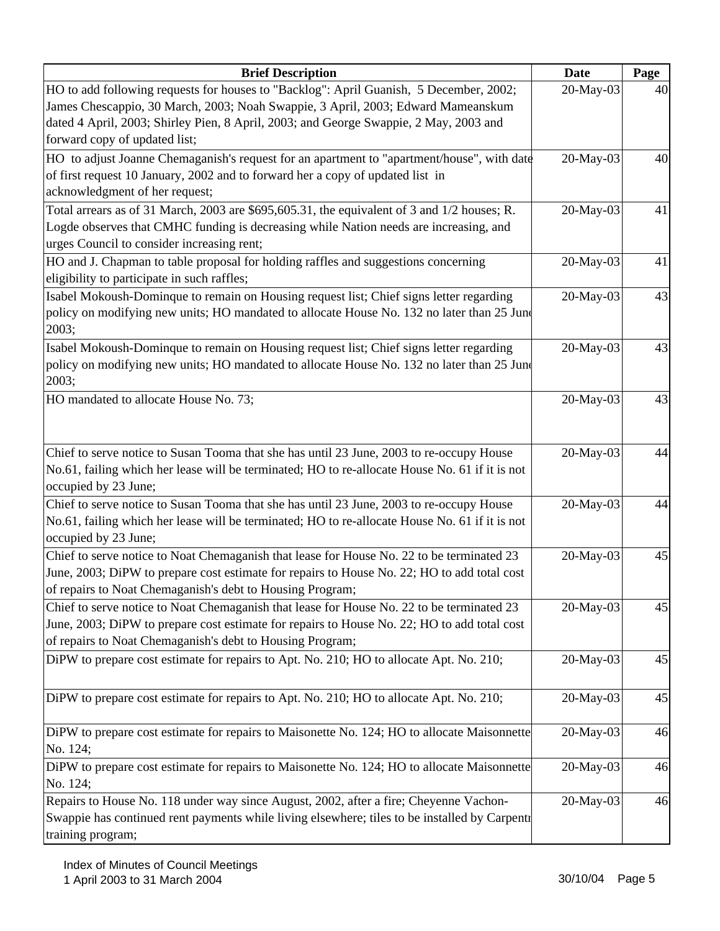| <b>Brief Description</b>                                                                        | <b>Date</b> | Page |
|-------------------------------------------------------------------------------------------------|-------------|------|
| HO to add following requests for houses to "Backlog": April Guanish, 5 December, 2002;          | 20-May-03   | 40   |
| James Chescappio, 30 March, 2003; Noah Swappie, 3 April, 2003; Edward Mameanskum                |             |      |
| dated 4 April, 2003; Shirley Pien, 8 April, 2003; and George Swappie, 2 May, 2003 and           |             |      |
| forward copy of updated list;                                                                   |             |      |
| HO to adjust Joanne Chemaganish's request for an apartment to "apartment/house", with date      | 20-May-03   | 40   |
| of first request 10 January, 2002 and to forward her a copy of updated list in                  |             |      |
| acknowledgment of her request;                                                                  |             |      |
| Total arrears as of 31 March, 2003 are $$695,605.31$ , the equivalent of 3 and $1/2$ houses; R. | 20-May-03   | 41   |
| Logde observes that CMHC funding is decreasing while Nation needs are increasing, and           |             |      |
| urges Council to consider increasing rent;                                                      |             |      |
| HO and J. Chapman to table proposal for holding raffles and suggestions concerning              | 20-May-03   | 41   |
| eligibility to participate in such raffles;                                                     |             |      |
| Isabel Mokoush-Dominque to remain on Housing request list; Chief signs letter regarding         | 20-May-03   | 43   |
| policy on modifying new units; HO mandated to allocate House No. 132 no later than 25 June      |             |      |
| 2003;                                                                                           |             |      |
| Isabel Mokoush-Dominque to remain on Housing request list; Chief signs letter regarding         | 20-May-03   | 43   |
| policy on modifying new units; HO mandated to allocate House No. 132 no later than 25 June      |             |      |
| 2003;                                                                                           |             |      |
| HO mandated to allocate House No. 73;                                                           | 20-May-03   | 43   |
|                                                                                                 |             |      |
|                                                                                                 |             |      |
| Chief to serve notice to Susan Tooma that she has until 23 June, 2003 to re-occupy House        | 20-May-03   | 44   |
| No.61, failing which her lease will be terminated; HO to re-allocate House No. 61 if it is not  |             |      |
| occupied by 23 June;                                                                            |             |      |
| Chief to serve notice to Susan Tooma that she has until 23 June, 2003 to re-occupy House        | 20-May-03   | 44   |
| No.61, failing which her lease will be terminated; HO to re-allocate House No. 61 if it is not  |             |      |
| occupied by 23 June;                                                                            |             |      |
| Chief to serve notice to Noat Chemaganish that lease for House No. 22 to be terminated 23       | 20-May-03   | 45   |
| June, 2003; DiPW to prepare cost estimate for repairs to House No. 22; HO to add total cost     |             |      |
| of repairs to Noat Chemaganish's debt to Housing Program;                                       |             |      |
| Chief to serve notice to Noat Chemaganish that lease for House No. 22 to be terminated 23       | 20-May-03   | 45   |
| June, 2003; DiPW to prepare cost estimate for repairs to House No. 22; HO to add total cost     |             |      |
| of repairs to Noat Chemaganish's debt to Housing Program;                                       |             |      |
| DiPW to prepare cost estimate for repairs to Apt. No. 210; HO to allocate Apt. No. 210;         | 20-May-03   | 45   |
|                                                                                                 |             |      |
| DiPW to prepare cost estimate for repairs to Apt. No. 210; HO to allocate Apt. No. 210;         | 20-May-03   | 45   |
|                                                                                                 |             |      |
| DiPW to prepare cost estimate for repairs to Maisonette No. 124; HO to allocate Maisonnette     | 20-May-03   | 46   |
| No. 124;                                                                                        |             |      |
| DiPW to prepare cost estimate for repairs to Maisonette No. 124; HO to allocate Maisonnette     | 20-May-03   | 46   |
| No. 124;                                                                                        |             |      |
| Repairs to House No. 118 under way since August, 2002, after a fire; Cheyenne Vachon-           | 20-May-03   | 46   |
| Swappie has continued rent payments while living elsewhere; tiles to be installed by Carpentr   |             |      |
| training program;                                                                               |             |      |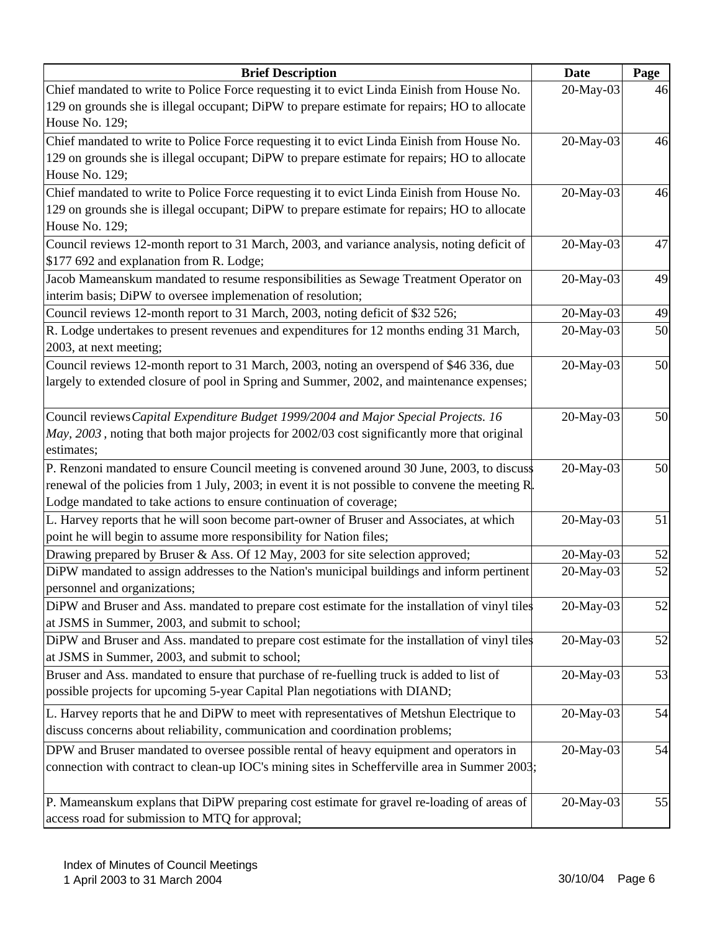| <b>Brief Description</b>                                                                          | <b>Date</b> | Page |
|---------------------------------------------------------------------------------------------------|-------------|------|
| Chief mandated to write to Police Force requesting it to evict Linda Einish from House No.        | 20-May-03   | 46   |
| 129 on grounds she is illegal occupant; DiPW to prepare estimate for repairs; HO to allocate      |             |      |
| House No. 129;                                                                                    |             |      |
| Chief mandated to write to Police Force requesting it to evict Linda Einish from House No.        | 20-May-03   | 46   |
| 129 on grounds she is illegal occupant; DiPW to prepare estimate for repairs; HO to allocate      |             |      |
| House No. 129;                                                                                    |             |      |
| Chief mandated to write to Police Force requesting it to evict Linda Einish from House No.        | 20-May-03   | 46   |
| 129 on grounds she is illegal occupant; DiPW to prepare estimate for repairs; HO to allocate      |             |      |
| House No. 129;                                                                                    |             |      |
| Council reviews 12-month report to 31 March, 2003, and variance analysis, noting deficit of       | 20-May-03   | 47   |
| \$177 692 and explanation from R. Lodge;                                                          |             |      |
| Jacob Mameanskum mandated to resume responsibilities as Sewage Treatment Operator on              | 20-May-03   | 49   |
| interim basis; DiPW to oversee implemenation of resolution;                                       |             |      |
| Council reviews 12-month report to 31 March, 2003, noting deficit of \$32 526;                    | 20-May-03   | 49   |
| R. Lodge undertakes to present revenues and expenditures for 12 months ending 31 March,           | 20-May-03   | 50   |
| 2003, at next meeting;                                                                            |             |      |
| Council reviews 12-month report to 31 March, 2003, noting an overspend of \$46 336, due           | 20-May-03   | 50   |
| largely to extended closure of pool in Spring and Summer, 2002, and maintenance expenses;         |             |      |
|                                                                                                   |             |      |
| Council reviews Capital Expenditure Budget 1999/2004 and Major Special Projects. 16               | 20-May-03   | 50   |
| May, 2003, noting that both major projects for 2002/03 cost significantly more that original      |             |      |
| estimates;                                                                                        |             |      |
| P. Renzoni mandated to ensure Council meeting is convened around 30 June, 2003, to discuss        | 20-May-03   | 50   |
| renewal of the policies from 1 July, 2003; in event it is not possible to convene the meeting $R$ |             |      |
| Lodge mandated to take actions to ensure continuation of coverage;                                |             |      |
| L. Harvey reports that he will soon become part-owner of Bruser and Associates, at which          | 20-May-03   | 51   |
| point he will begin to assume more responsibility for Nation files;                               |             |      |
| Drawing prepared by Bruser & Ass. Of 12 May, 2003 for site selection approved;                    | 20-May-03   | 52   |
| DiPW mandated to assign addresses to the Nation's municipal buildings and inform pertinent        | 20-May-03   | 52   |
| personnel and organizations;                                                                      |             |      |
| DiPW and Bruser and Ass. mandated to prepare cost estimate for the installation of vinyl tiles    | 20-May-03   | 52   |
| at JSMS in Summer, 2003, and submit to school;                                                    |             |      |
| DiPW and Bruser and Ass. mandated to prepare cost estimate for the installation of vinyl tiles    | 20-May-03   | 52   |
| at JSMS in Summer, 2003, and submit to school;                                                    |             |      |
| Bruser and Ass. mandated to ensure that purchase of re-fuelling truck is added to list of         | 20-May-03   | 53   |
| possible projects for upcoming 5-year Capital Plan negotiations with DIAND;                       |             |      |
| L. Harvey reports that he and DiPW to meet with representatives of Metshun Electrique to          | 20-May-03   | 54   |
| discuss concerns about reliability, communication and coordination problems;                      |             |      |
| DPW and Bruser mandated to oversee possible rental of heavy equipment and operators in            | 20-May-03   | 54   |
| connection with contract to clean-up IOC's mining sites in Schefferville area in Summer 2003;     |             |      |
|                                                                                                   |             |      |
| P. Mameanskum explans that DiPW preparing cost estimate for gravel re-loading of areas of         | 20-May-03   | 55   |
| access road for submission to MTQ for approval;                                                   |             |      |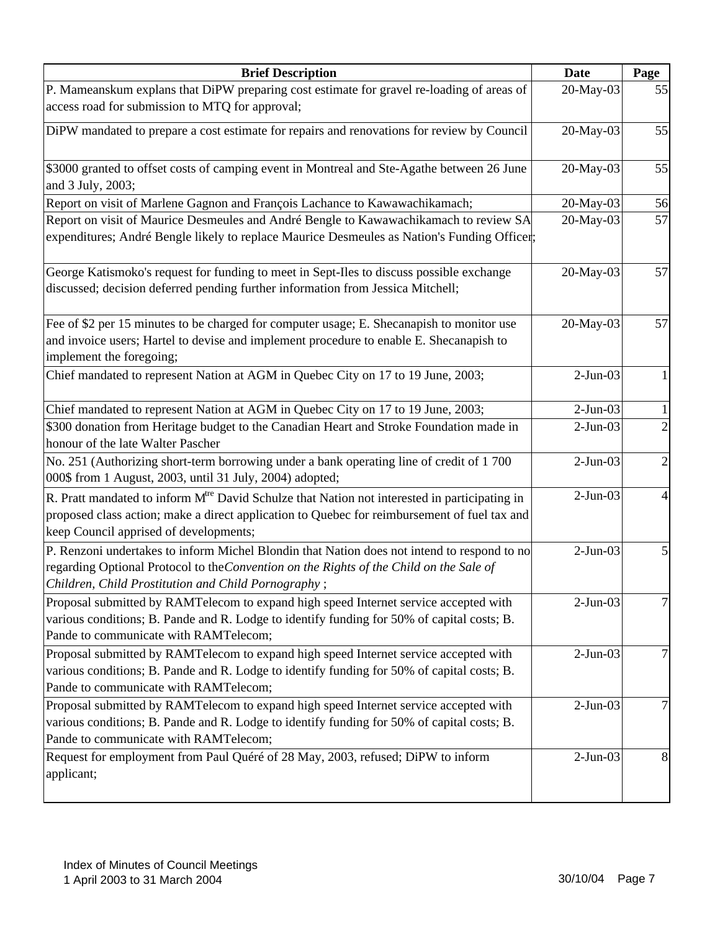| <b>Brief Description</b>                                                                                                                                                                                                                            | <b>Date</b> | Page |
|-----------------------------------------------------------------------------------------------------------------------------------------------------------------------------------------------------------------------------------------------------|-------------|------|
| P. Mameanskum explans that DiPW preparing cost estimate for gravel re-loading of areas of                                                                                                                                                           | 20-May-03   | 55   |
| access road for submission to MTQ for approval;                                                                                                                                                                                                     |             |      |
| DiPW mandated to prepare a cost estimate for repairs and renovations for review by Council                                                                                                                                                          | 20-May-03   | 55   |
|                                                                                                                                                                                                                                                     |             |      |
| \$3000 granted to offset costs of camping event in Montreal and Ste-Agathe between 26 June                                                                                                                                                          | 20-May-03   | 55   |
| and 3 July, 2003;                                                                                                                                                                                                                                   |             |      |
| Report on visit of Marlene Gagnon and François Lachance to Kawawachikamach;                                                                                                                                                                         | 20-May-03   | 56   |
| Report on visit of Maurice Desmeules and André Bengle to Kawawachikamach to review SA<br>expenditures; André Bengle likely to replace Maurice Desmeules as Nation's Funding Officer;                                                                | 20-May-03   | 57   |
| George Katismoko's request for funding to meet in Sept-Iles to discuss possible exchange<br>discussed; decision deferred pending further information from Jessica Mitchell;                                                                         | 20-May-03   | 57   |
| Fee of \$2 per 15 minutes to be charged for computer usage; E. Shecanapish to monitor use<br>and invoice users; Hartel to devise and implement procedure to enable E. Shecanapish to<br>implement the foregoing;                                    | 20-May-03   | 57   |
| Chief mandated to represent Nation at AGM in Quebec City on 17 to 19 June, 2003;                                                                                                                                                                    | $2-Jun-03$  |      |
| Chief mandated to represent Nation at AGM in Quebec City on 17 to 19 June, 2003;                                                                                                                                                                    | $2-Jun-03$  |      |
| \$300 donation from Heritage budget to the Canadian Heart and Stroke Foundation made in<br>honour of the late Walter Pascher                                                                                                                        | $2-Jun-03$  |      |
| No. 251 (Authorizing short-term borrowing under a bank operating line of credit of 1700                                                                                                                                                             | $2-Jun-03$  | 2    |
| 000\$ from 1 August, 2003, until 31 July, 2004) adopted;                                                                                                                                                                                            |             |      |
| R. Pratt mandated to inform M <sup>tre</sup> David Schulze that Nation not interested in participating in<br>proposed class action; make a direct application to Quebec for reimbursement of fuel tax and<br>keep Council apprised of developments; | $2-Jun-03$  |      |
| P. Renzoni undertakes to inform Michel Blondin that Nation does not intend to respond to no                                                                                                                                                         | $2-Jun-03$  |      |
| regarding Optional Protocol to the Convention on the Rights of the Child on the Sale of<br>Children, Child Prostitution and Child Pornography;                                                                                                      |             |      |
| Proposal submitted by RAMTelecom to expand high speed Internet service accepted with<br>various conditions; B. Pande and R. Lodge to identify funding for 50% of capital costs; B.<br>Pande to communicate with RAMTelecom;                         | $2-Jun-03$  |      |
| Proposal submitted by RAMTelecom to expand high speed Internet service accepted with<br>various conditions; B. Pande and R. Lodge to identify funding for 50% of capital costs; B.<br>Pande to communicate with RAMTelecom;                         | $2-Jun-03$  |      |
| Proposal submitted by RAMTelecom to expand high speed Internet service accepted with<br>various conditions; B. Pande and R. Lodge to identify funding for 50% of capital costs; B.<br>Pande to communicate with RAMTelecom;                         | $2-Jun-03$  |      |
| Request for employment from Paul Quéré of 28 May, 2003, refused; DiPW to inform<br>applicant;                                                                                                                                                       | $2-Jun-03$  | 8    |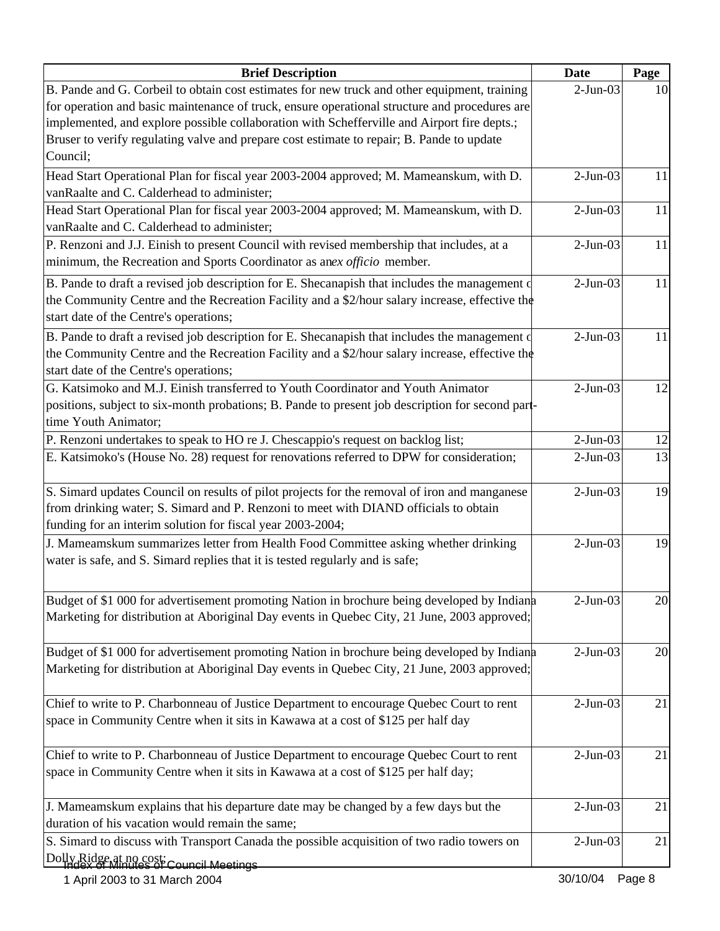| <b>Brief Description</b>                                                                         | Date       | Page |
|--------------------------------------------------------------------------------------------------|------------|------|
| B. Pande and G. Corbeil to obtain cost estimates for new truck and other equipment, training     | $2-Jun-03$ | 10   |
| for operation and basic maintenance of truck, ensure operational structure and procedures are    |            |      |
| implemented, and explore possible collaboration with Schefferville and Airport fire depts.;      |            |      |
| Bruser to verify regulating valve and prepare cost estimate to repair; B. Pande to update        |            |      |
| Council;                                                                                         |            |      |
| Head Start Operational Plan for fiscal year 2003-2004 approved; M. Mameanskum, with D.           | $2-Jun-03$ | 11   |
| vanRaalte and C. Calderhead to administer;                                                       |            |      |
| Head Start Operational Plan for fiscal year 2003-2004 approved; M. Mameanskum, with D.           | $2-Jun-03$ | 11   |
| vanRaalte and C. Calderhead to administer;                                                       |            |      |
| P. Renzoni and J.J. Einish to present Council with revised membership that includes, at a        | $2-Jun-03$ | 11   |
| minimum, the Recreation and Sports Coordinator as anex officio member.                           |            |      |
| B. Pande to draft a revised job description for E. Shecanapish that includes the management of   | $2-Jun-03$ | 11   |
| the Community Centre and the Recreation Facility and a \$2/hour salary increase, effective the   |            |      |
| start date of the Centre's operations;                                                           |            |      |
| B. Pande to draft a revised job description for E. Shecanapish that includes the management of   | $2-Jun-03$ | 11   |
| the Community Centre and the Recreation Facility and a \$2/hour salary increase, effective the   |            |      |
| start date of the Centre's operations;                                                           |            |      |
| G. Katsimoko and M.J. Einish transferred to Youth Coordinator and Youth Animator                 | $2-Jun-03$ | 12   |
| positions, subject to six-month probations; B. Pande to present job description for second part- |            |      |
| time Youth Animator;                                                                             |            |      |
| P. Renzoni undertakes to speak to HO re J. Chescappio's request on backlog list;                 | $2-Jun-03$ | 12   |
| E. Katsimoko's (House No. 28) request for renovations referred to DPW for consideration;         | $2-Jun-03$ | 13   |
|                                                                                                  |            |      |
| S. Simard updates Council on results of pilot projects for the removal of iron and manganese     | $2-Jun-03$ | 19   |
| from drinking water; S. Simard and P. Renzoni to meet with DIAND officials to obtain             |            |      |
| funding for an interim solution for fiscal year 2003-2004;                                       |            |      |
| J. Mameamskum summarizes letter from Health Food Committee asking whether drinking               | $2-Jun-03$ | 19   |
| water is safe, and S. Simard replies that it is tested regularly and is safe;                    |            |      |
|                                                                                                  |            |      |
| Budget of \$1 000 for advertisement promoting Nation in brochure being developed by Indiana      | $2-Jun-03$ | 20   |
| Marketing for distribution at Aboriginal Day events in Quebec City, 21 June, 2003 approved;      |            |      |
|                                                                                                  |            |      |
| Budget of \$1 000 for advertisement promoting Nation in brochure being developed by Indiana      | $2-Jun-03$ | 20   |
| Marketing for distribution at Aboriginal Day events in Quebec City, 21 June, 2003 approved;      |            |      |
|                                                                                                  |            |      |
| Chief to write to P. Charbonneau of Justice Department to encourage Quebec Court to rent         | $2-Jun-03$ | 21   |
| space in Community Centre when it sits in Kawawa at a cost of \$125 per half day                 |            |      |
|                                                                                                  |            |      |
| Chief to write to P. Charbonneau of Justice Department to encourage Quebec Court to rent         | $2-Jun-03$ | 21   |
| space in Community Centre when it sits in Kawawa at a cost of \$125 per half day;                |            |      |
|                                                                                                  |            |      |
| J. Mameamskum explains that his departure date may be changed by a few days but the              | $2-Jun-03$ | 21   |
| duration of his vacation would remain the same;                                                  |            |      |
| S. Simard to discuss with Transport Canada the possible acquisition of two radio towers on       | $2-Jun-03$ | 21   |
| Dolly Ridge at no cost; Council Meetings                                                         |            |      |
|                                                                                                  |            |      |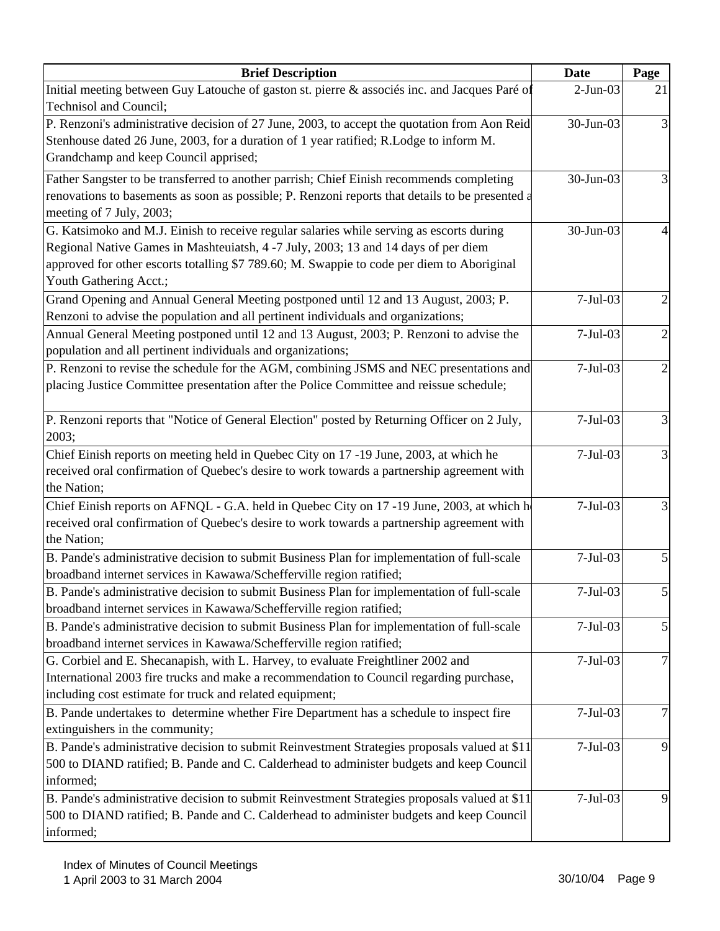| <b>Brief Description</b>                                                                                                                                                                                                                                                                               | Date       | Page           |
|--------------------------------------------------------------------------------------------------------------------------------------------------------------------------------------------------------------------------------------------------------------------------------------------------------|------------|----------------|
| Initial meeting between Guy Latouche of gaston st. pierre & associés inc. and Jacques Paré of<br>Technisol and Council;                                                                                                                                                                                | $2-Jun-03$ | 21             |
| P. Renzoni's administrative decision of 27 June, 2003, to accept the quotation from Aon Reid<br>Stenhouse dated 26 June, 2003, for a duration of 1 year ratified; R.Lodge to inform M.                                                                                                                 | 30-Jun-03  | 3              |
| Grandchamp and keep Council apprised;                                                                                                                                                                                                                                                                  |            |                |
| Father Sangster to be transferred to another parrish; Chief Einish recommends completing<br>renovations to basements as soon as possible; P. Renzoni reports that details to be presented a<br>meeting of 7 July, 2003;                                                                                | 30-Jun-03  | 3              |
| G. Katsimoko and M.J. Einish to receive regular salaries while serving as escorts during<br>Regional Native Games in Mashteuiatsh, 4 -7 July, 2003; 13 and 14 days of per diem<br>approved for other escorts totalling \$7 789.60; M. Swappie to code per diem to Aboriginal<br>Youth Gathering Acct.; | 30-Jun-03  |                |
| Grand Opening and Annual General Meeting postponed until 12 and 13 August, 2003; P.<br>Renzoni to advise the population and all pertinent individuals and organizations;                                                                                                                               | $7-Jul-03$ | $\overline{c}$ |
| Annual General Meeting postponed until 12 and 13 August, 2003; P. Renzoni to advise the<br>population and all pertinent individuals and organizations;                                                                                                                                                 | $7-Jul-03$ | $\overline{2}$ |
| P. Renzoni to revise the schedule for the AGM, combining JSMS and NEC presentations and<br>placing Justice Committee presentation after the Police Committee and reissue schedule;                                                                                                                     | $7-Jul-03$ | $\overline{2}$ |
| P. Renzoni reports that "Notice of General Election" posted by Returning Officer on 2 July,<br>2003;                                                                                                                                                                                                   | $7-Jul-03$ | 3              |
| Chief Einish reports on meeting held in Quebec City on 17 -19 June, 2003, at which he<br>received oral confirmation of Quebec's desire to work towards a partnership agreement with<br>the Nation;                                                                                                     | $7-Jul-03$ | 3              |
| Chief Einish reports on AFNQL - G.A. held in Quebec City on 17 -19 June, 2003, at which h<br>received oral confirmation of Quebec's desire to work towards a partnership agreement with<br>the Nation;                                                                                                 | $7-Jul-03$ |                |
| B. Pande's administrative decision to submit Business Plan for implementation of full-scale<br>broadband internet services in Kawawa/Schefferville region ratified;                                                                                                                                    | $7-Jul-03$ | 5              |
| B. Pande's administrative decision to submit Business Plan for implementation of full-scale<br>broadband internet services in Kawawa/Schefferville region ratified;                                                                                                                                    | $7-Jul-03$ | ͻι             |
| B. Pande's administrative decision to submit Business Plan for implementation of full-scale<br>broadband internet services in Kawawa/Schefferville region ratified;                                                                                                                                    | $7-Jul-03$ | $\mathfrak{S}$ |
| G. Corbiel and E. Shecanapish, with L. Harvey, to evaluate Freightliner 2002 and<br>International 2003 fire trucks and make a recommendation to Council regarding purchase,<br>including cost estimate for truck and related equipment;                                                                | $7-Jul-03$ | 7              |
| B. Pande undertakes to determine whether Fire Department has a schedule to inspect fire<br>extinguishers in the community;                                                                                                                                                                             | $7-Jul-03$ | 7              |
| B. Pande's administrative decision to submit Reinvestment Strategies proposals valued at \$11<br>500 to DIAND ratified; B. Pande and C. Calderhead to administer budgets and keep Council<br>informed;                                                                                                 | $7-Jul-03$ | 9              |
| B. Pande's administrative decision to submit Reinvestment Strategies proposals valued at \$11<br>500 to DIAND ratified; B. Pande and C. Calderhead to administer budgets and keep Council<br>informed;                                                                                                 | $7-Jul-03$ | 9              |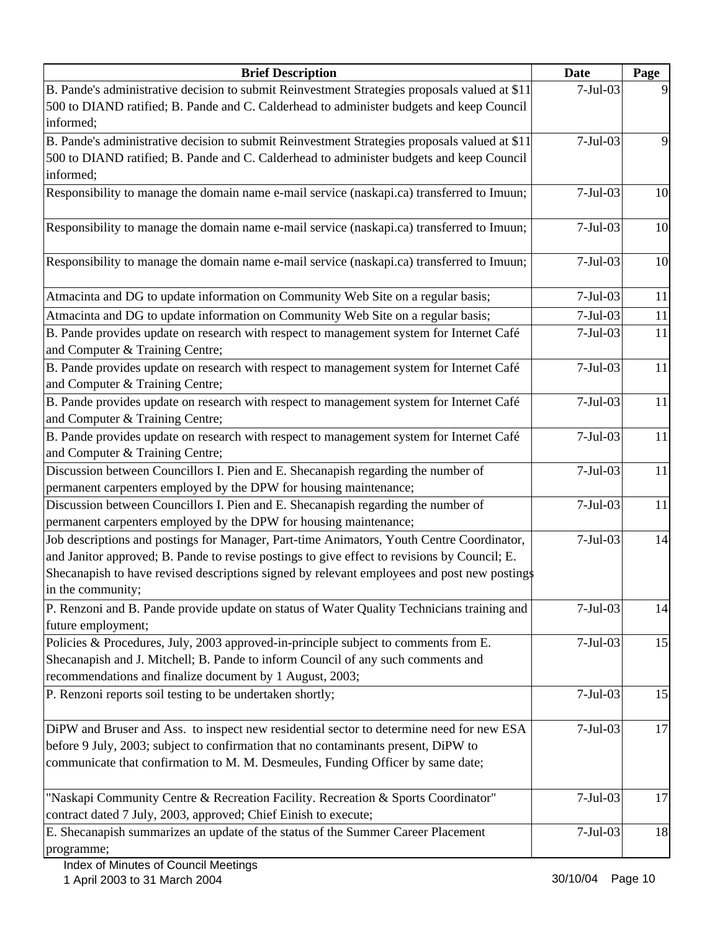| <b>Brief Description</b>                                                                                                                                                                                                                                          | <b>Date</b> | Page |
|-------------------------------------------------------------------------------------------------------------------------------------------------------------------------------------------------------------------------------------------------------------------|-------------|------|
| B. Pande's administrative decision to submit Reinvestment Strategies proposals valued at \$11                                                                                                                                                                     | $7-Jul-03$  |      |
| 500 to DIAND ratified; B. Pande and C. Calderhead to administer budgets and keep Council                                                                                                                                                                          |             |      |
| informed;                                                                                                                                                                                                                                                         |             |      |
| B. Pande's administrative decision to submit Reinvestment Strategies proposals valued at \$11                                                                                                                                                                     | $7-Jul-03$  | 9    |
| 500 to DIAND ratified; B. Pande and C. Calderhead to administer budgets and keep Council                                                                                                                                                                          |             |      |
| informed;                                                                                                                                                                                                                                                         |             |      |
| Responsibility to manage the domain name e-mail service (naskapi.ca) transferred to Imuun;                                                                                                                                                                        | $7-Jul-03$  | 10   |
| Responsibility to manage the domain name e-mail service (naskapi.ca) transferred to Imuun;                                                                                                                                                                        | $7-Jul-03$  | 10   |
| Responsibility to manage the domain name e-mail service (naskapi.ca) transferred to Imuun;                                                                                                                                                                        | $7-Jul-03$  | 10   |
| Atmacinta and DG to update information on Community Web Site on a regular basis;                                                                                                                                                                                  | $7-Jul-03$  | 11   |
| Atmacinta and DG to update information on Community Web Site on a regular basis;                                                                                                                                                                                  | $7-Jul-03$  | 11   |
| B. Pande provides update on research with respect to management system for Internet Café<br>and Computer & Training Centre;                                                                                                                                       | $7-Jul-03$  | 11   |
| B. Pande provides update on research with respect to management system for Internet Café<br>and Computer & Training Centre;                                                                                                                                       | $7-Jul-03$  | 11   |
| B. Pande provides update on research with respect to management system for Internet Café<br>and Computer & Training Centre;                                                                                                                                       | $7-Jul-03$  | 11   |
| B. Pande provides update on research with respect to management system for Internet Café<br>and Computer & Training Centre;                                                                                                                                       | $7-Jul-03$  | 11   |
| Discussion between Councillors I. Pien and E. Shecanapish regarding the number of<br>permanent carpenters employed by the DPW for housing maintenance;                                                                                                            | $7-Jul-03$  | 11   |
| Discussion between Councillors I. Pien and E. Shecanapish regarding the number of<br>permanent carpenters employed by the DPW for housing maintenance;                                                                                                            | $7-Jul-03$  | 11   |
| Job descriptions and postings for Manager, Part-time Animators, Youth Centre Coordinator,                                                                                                                                                                         | $7-Jul-03$  | 14   |
| and Janitor approved; B. Pande to revise postings to give effect to revisions by Council; E.                                                                                                                                                                      |             |      |
| Shecanapish to have revised descriptions signed by relevant employees and post new postings                                                                                                                                                                       |             |      |
| in the community;                                                                                                                                                                                                                                                 |             |      |
| P. Renzoni and B. Pande provide update on status of Water Quality Technicians training and<br>future employment;                                                                                                                                                  | $7-Jul-03$  | 14   |
| Policies & Procedures, July, 2003 approved-in-principle subject to comments from E.                                                                                                                                                                               | $7-Jul-03$  | 15   |
| Shecanapish and J. Mitchell; B. Pande to inform Council of any such comments and<br>recommendations and finalize document by 1 August, 2003;                                                                                                                      |             |      |
| P. Renzoni reports soil testing to be undertaken shortly;                                                                                                                                                                                                         | $7-Jul-03$  | 15   |
| DiPW and Bruser and Ass. to inspect new residential sector to determine need for new ESA<br>before 9 July, 2003; subject to confirmation that no contaminants present, DiPW to<br>communicate that confirmation to M. M. Desmeules, Funding Officer by same date; | $7-Jul-03$  | 17   |
| "Naskapi Community Centre & Recreation Facility. Recreation & Sports Coordinator"<br>contract dated 7 July, 2003, approved; Chief Einish to execute;                                                                                                              | $7-Jul-03$  | 17   |
| E. Shecanapish summarizes an update of the status of the Summer Career Placement<br>programme;                                                                                                                                                                    | $7-Jul-03$  | 18   |